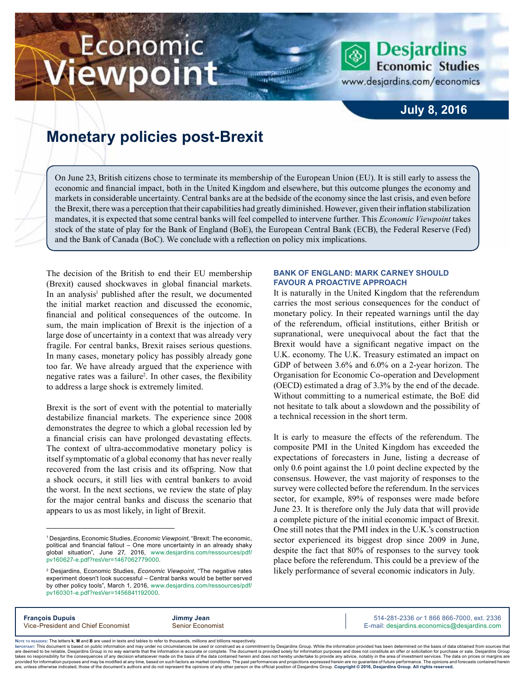# Economic iewpoint



www.desjardins.com/economics

### **July 8, 2016**

## **Monetary policies post-Brexit**

On June 23, British citizens chose to terminate its membership of the European Union (EU). It is still early to assess the economic and financial impact, both in the United Kingdom and elsewhere, but this outcome plunges the economy and markets in considerable uncertainty. Central banks are at the bedside of the economy since the last crisis, and even before the Brexit, there was a perception that their capabilities had greatly diminished. However, given their inflation stabilization mandates, it is expected that some central banks will feel compelled to intervene further. This *Economic Viewpoint* takes stock of the state of play for the Bank of England (BoE), the European Central Bank (ECB), the Federal Reserve (Fed) and the Bank of Canada (BoC). We conclude with a reflection on policy mix implications.

m

The decision of the British to end their EU membership (Brexit) caused shockwaves in global financial markets. In an analysis<sup>1</sup> published after the result, we documented the initial market reaction and discussed the economic, financial and political consequences of the outcome. In sum, the main implication of Brexit is the injection of a large dose of uncertainty in a context that was already very fragile. For central banks, Brexit raises serious questions. In many cases, monetary policy has possibly already gone too far. We have already argued that the experience with negative rates was a failure<sup>2</sup>. In other cases, the flexibility to address a large shock is extremely limited.

Brexit is the sort of event with the potential to materially destabilize financial markets. The experience since 2008 demonstrates the degree to which a global recession led by a financial crisis can have prolonged devastating effects. The context of ultra-accommodative monetary policy is itself symptomatic of a global economy that has never really recovered from the last crisis and its offspring. Now that a shock occurs, it still lies with central bankers to avoid the worst. In the next sections, we review the state of play for the major central banks and discuss the scenario that appears to us as most likely, in light of Brexit.

#### **Bank of England: Mark Carney should favour a proactive approach**

It is naturally in the United Kingdom that the referendum carries the most serious consequences for the conduct of monetary policy. In their repeated warnings until the day of the referendum, official institutions, either British or supranational, were unequivocal about the fact that the Brexit would have a significant negative impact on the U.K. economy. The U.K. Treasury estimated an impact on GDP of between 3.6% and 6.0% on a 2-year horizon. The Organisation for Economic Co-operation and Development (OECD) estimated a drag of 3.3% by the end of the decade. Without committing to a numerical estimate, the BoE did not hesitate to talk about a slowdown and the possibility of a technical recession in the short term.

It is early to measure the effects of the referendum. The composite PMI in the United Kingdom has exceeded the expectations of forecasters in June, listing a decrease of only 0.6 point against the 1.0 point decline expected by the consensus. However, the vast majority of responses to the survey were collected before the referendum. In the services sector, for example, 89% of responses were made before June 23. It is therefore only the July data that will provide a complete picture of the initial economic impact of Brexit. One still notes that the PMI index in the U.K.'s construction sector experienced its biggest drop since 2009 in June, despite the fact that 80% of responses to the survey took place before the referendum. This could be a preview of the likely performance of several economic indicators in July.

**François Dupuis Jimmy Jean** 514-281-2336 *or* 1 866 866-7000, ext. 2336 Vice-President and Chief Economist Senior Economist Senior Economist E-mail: desjardins.economics@desjardins.com

Noте то келоекs: The letters **k, M** and **B** are used in texts and tables to refer to thousands, millions and billions respectively.<br>Імроктлит: This document is based on public information and may under no circumstances be are deemed to be reliable. Desiardins Group in no way warrants that the information is accurate or complete. The document is provided solely for information purposes and does not constitute an offer or solicitation for pur takes no responsibility for the consequences of any decision whatsoever made on the basis of the data contained herein and does not hereby undertake to provide any advice, notably in the area of investment services. The da .<br>are, unless otherwise indicated, those of the document's authors and do not represent the opinions of any other person or the official position of Desjardins Group. Copyright @ 2016, Desjardins Group. All rights reserved

<sup>1</sup> Desjardins, Economic Studies, *Economic Viewpoint*, "Brexit: The economic, political and financial fallout – One more uncertainty in an already shaky global situation", June 27, 2016, [www.desjardins.com/ressources/pdf/](http://www.desjardins.com/ressources/pdf/pv160627-e.pdf?resVer=1467062779000) [pv160627-e.pdf?resVer=1467062779000](http://www.desjardins.com/ressources/pdf/pv160627-e.pdf?resVer=1467062779000).

<sup>2</sup> Desjardins, Economic Studies, *Economic Viewpoint*, "The negative rates experiment doesn't look successful – Central banks would be better served by other policy tools", March 1, 2016, [www.desjardins.com/ressources/pdf/](http://www.desjardins.com/ressources/pdf/pv160301-e.pdf?resVer=1456841192000) [pv160301-e.pdf?resVer=1456841192000](http://www.desjardins.com/ressources/pdf/pv160301-e.pdf?resVer=1456841192000).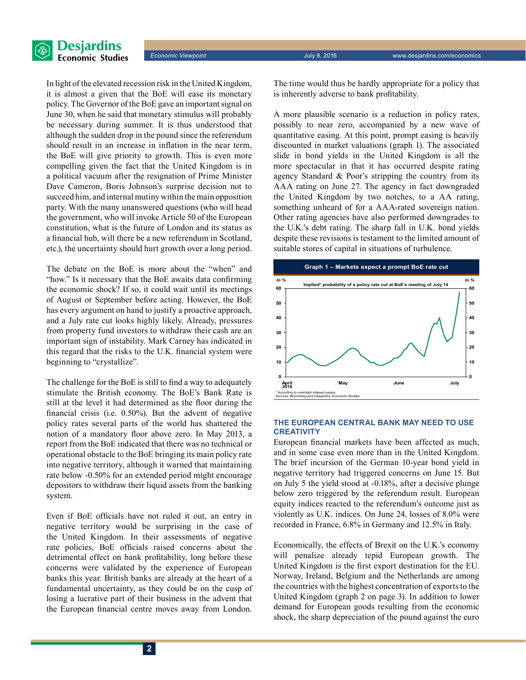

*Economic Viewpoint* July 8, 2016 www.desjardins.com/economics

In light of the elevated recession risk in the United Kingdom, it is almost a given that the BoE will ease its monetary policy. The Governor of the BoE gave an important signal on June 30, when he said that monetary stimulus will probably be necessary during summer. It is thus understood that although the sudden drop in the pound since the referendum should result in an increase in inflation in the near term, the BoE will give priority to growth. This is even more compelling given the fact that the United Kingdom is in a political vacuum after the resignation of Prime Minister Dave Cameron, Boris Johnson's surprise decision not to succeed him, and internal mutiny within the main opposition party. With the many unanswered questions (who will head the government, who will invoke Article 50 of the European constitution, what is the future of London and its status as a financial hub, will there be a new referendum in Scotland, etc.), the uncertainty should hurt growth over a long period.

The debate on the BoE is more about the "when" and "how." Is it necessary that the BoE awaits data confirming the economic shock? If so, it could wait until its meetings of August or September before acting. However, the BoE has every argument on hand to justify a proactive approach, and a July rate cut looks highly likely. Already, pressures from property fund investors to withdraw their cash are an important sign of instability. Mark Carney has indicated in this regard that the risks to the U.K. financial system were beginning to "crystallize".

The challenge for the BoE is still to find a way to adequately stimulate the British economy. The BoE's Bank Rate is still at the level it had determined as the floor during the financial crisis (i.e. 0.50%). But the advent of negative policy rates several parts of the world has shattered the notion of a mandatory floor above zero. In May 2013, a report from the BoE indicated that there was no technical or operational obstacle to the BoE bringing its main policy rate into negative territory, although it warned that maintaining rate below -0.50% for an extended period might encourage depositors to withdraw their liquid assets from the banking system.

Even if BoE officials have not ruled it out, an entry in negative territory would be surprising in the case of the United Kingdom. In their assessments of negative rate policies, BoE officials raised concerns about the detrimental effect on bank profitability, long before these concerns were validated by the experience of European banks this year. British banks are already at the heart of a fundamental uncertainty, as they could be on the cusp of losing a lucrative part of their business in the advent that the European financial centre moves away from London.

The time would thus be hardly appropriate for a policy that is inherently adverse to bank profitability.

A more plausible scenario is a reduction in policy rates, possibly to near zero, accompanied by a new wave of quantitative easing. At this point, prompt easing is heavily discounted in market valuations (graph 1). The associated slide in bond yields in the United Kingdom is all the more spectacular in that it has occurred despite rating agency Standard & Poor's stripping the country from its AAA rating on June 27. The agency in fact downgraded the United Kingdom by two notches, to a AA rating, something unheard of for a AAA-rated sovereign nation. Other rating agencies have also performed downgrades to the U.K.'s debt rating. The sharp fall in U.K. bond yields despite these revisions is testament to the limited amount of suitable stores of capital in situations of turbulence.



#### **The European Central Bank may need to use CREATIVITY**

European financial markets have been affected as much, and in some case even more than in the United Kingdom. The brief incursion of the German 10‑year bond yield in negative territory had triggered concerns on June 15. But on July 5 the yield stood at -0.18%, after a decisive plunge below zero triggered by the referendum result. European equity indices reacted to the referendum's outcome just as violently as U.K. indices. On June 24, losses of 8.0% were recorded in France, 6.8% in Germany and 12.5% in Italy.

Economically, the effects of Brexit on the U.K.'s economy will penalize already tepid European growth. The United Kingdom is the first export destination for the EU. Norway, Ireland, Belgium and the Netherlands are among the countries with the highest concentration of exports to the United Kingdom (graph 2 on page 3). In addition to lower demand for European goods resulting from the economic shock, the sharp depreciation of the pound against the euro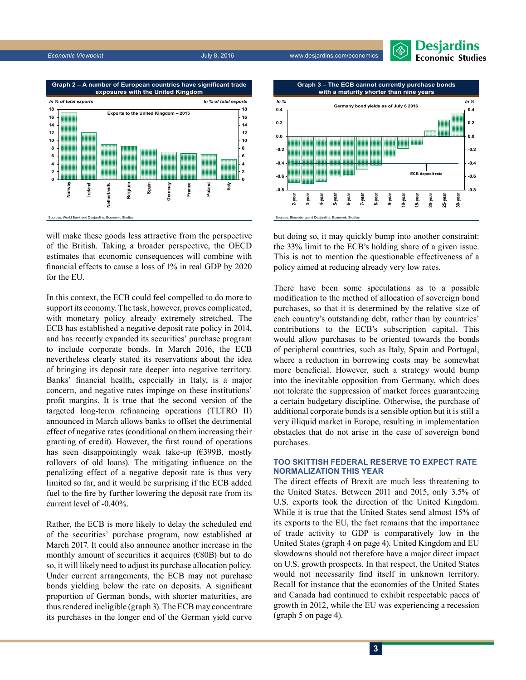*Economic Viewpoint* July 8, 2016 www.desjardins.com/economics





will make these goods less attractive from the perspective

of the British. Taking a broader perspective, the OECD estimates that economic consequences will combine with financial effects to cause a loss of 1% in real GDP by 2020 for the EU.

In this context, the ECB could feel compelled to do more to support its economy. The task, however, proves complicated, with monetary policy already extremely stretched. The ECB has established a negative deposit rate policy in 2014, and has recently expanded its securities' purchase program to include corporate bonds. In March 2016, the ECB nevertheless clearly stated its reservations about the idea of bringing its deposit rate deeper into negative territory. Banks' financial health, especially in Italy, is a major concern, and negative rates impinge on these institutions' profit margins. It is true that the second version of the targeted long-term refinancing operations (TLTRO II) announced in March allows banks to offset the detrimental effect of negative rates (conditional on them increasing their granting of credit). However, the first round of operations has seen disappointingly weak take-up (€399B, mostly rollovers of old loans). The mitigating influence on the penalizing effect of a negative deposit rate is thus very limited so far, and it would be surprising if the ECB added fuel to the fire by further lowering the deposit rate from its current level of -0.40%.

Rather, the ECB is more likely to delay the scheduled end of the securities' purchase program, now established at March 2017. It could also announce another increase in the monthly amount of securities it acquires  $(E80B)$  but to do so, it will likely need to adjust its purchase allocation policy. Under current arrangements, the ECB may not purchase bonds yielding below the rate on deposits. A significant proportion of German bonds, with shorter maturities, are thus rendered ineligible (graph 3). The ECB may concentrate its purchases in the longer end of the German yield curve



but doing so, it may quickly bump into another constraint: the 33% limit to the ECB's holding share of a given issue. This is not to mention the questionable effectiveness of a policy aimed at reducing already very low rates.

There have been some speculations as to a possible modification to the method of allocation of sovereign bond purchases, so that it is determined by the relative size of each country's outstanding debt, rather than by countries' contributions to the ECB's subscription capital. This would allow purchases to be oriented towards the bonds of peripheral countries, such as Italy, Spain and Portugal, where a reduction in borrowing costs may be somewhat more beneficial. However, such a strategy would bump into the inevitable opposition from Germany, which does not tolerate the suppression of market forces guaranteeing a certain budgetary discipline. Otherwise, the purchase of additional corporate bonds is a sensible option but it is still a very illiquid market in Europe, resulting in implementation obstacles that do not arise in the case of sovereign bond purchases.

#### **Too skittish Federal Reserve to expect rate normalization this year**

The direct effects of Brexit are much less threatening to the United States. Between 2011 and 2015, only 3.5% of U.S. exports took the direction of the United Kingdom. While it is true that the United States send almost 15% of its exports to the EU, the fact remains that the importance of trade activity to GDP is comparatively low in the United States (graph 4 on page 4). United Kingdom and EU slowdowns should not therefore have a major direct impact on U.S. growth prospects. In that respect, the United States would not necessarily find itself in unknown territory. Recall for instance that the economies of the United States and Canada had continued to exhibit respectable paces of growth in 2012, while the EU was experiencing a recession (graph 5 on page 4).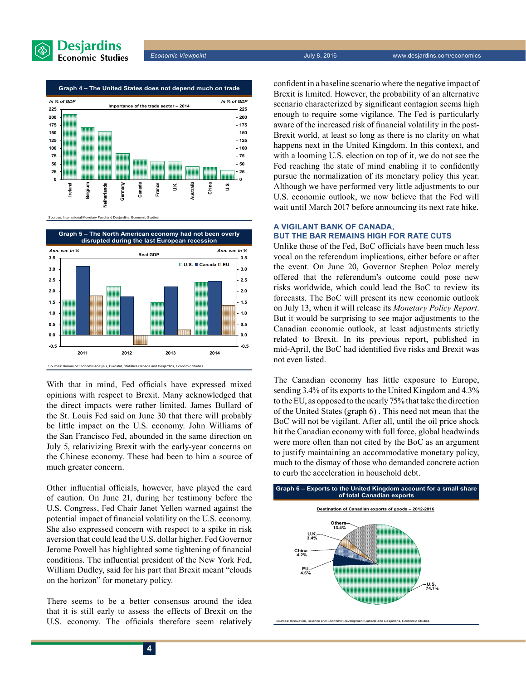



Sources: International Monetary Fund and Desjardins, Economic Studies



With that in mind, Fed officials have expressed mixed opinions with respect to Brexit. Many acknowledged that the direct impacts were rather limited. James Bullard of the St. Louis Fed said on June 30 that there will probably be little impact on the U.S. economy. John Williams of the San Francisco Fed, abounded in the same direction on July 5, relativizing Brexit with the early-year concerns on the Chinese economy. These had been to him a source of much greater concern.

Other influential officials, however, have played the card of caution. On June 21, during her testimony before the U.S. Congress, Fed Chair Janet Yellen warned against the potential impact of financial volatility on the U.S. economy. She also expressed concern with respect to a spike in risk aversion that could lead the U.S. dollar higher. Fed Governor Jerome Powell has highlighted some tightening of financial conditions. The influential president of the New York Fed, William Dudley, said for his part that Brexit meant "clouds on the horizon" for monetary policy.

There seems to be a better consensus around the idea that it is still early to assess the effects of Brexit on the U.S. economy. The officials therefore seem relatively confident in a baseline scenario where the negative impact of Brexit is limited. However, the probability of an alternative scenario characterized by significant contagion seems high enough to require some vigilance. The Fed is particularly aware of the increased risk of financial volatility in the post-Brexit world, at least so long as there is no clarity on what happens next in the United Kingdom. In this context, and with a looming U.S. election on top of it, we do not see the Fed reaching the state of mind enabling it to confidently pursue the normalization of its monetary policy this year. Although we have performed very little adjustments to our U.S. economic outlook, we now believe that the Fed will wait until March 2017 before announcing its next rate hike.

#### **A vigilant Bank of Canada, but the bar remains high for rate cuts**

Unlike those of the Fed, BoC officials have been much less vocal on the referendum implications, either before or after the event. On June 20, Governor Stephen Poloz merely offered that the referendum's outcome could pose new risks worldwide, which could lead the BoC to review its forecasts. The BoC will present its new economic outlook on July 13, when it will release its *Monetary Policy Report*. But it would be surprising to see major adjustments to the Canadian economic outlook, at least adjustments strictly related to Brexit. In its previous report, published in mid‑April, the BoC had identified five risks and Brexit was not even listed.

The Canadian economy has little exposure to Europe, sending 3.4% of its exports to the United Kingdom and 4.3% to the EU, as opposed to the nearly 75% that take the direction of the United States (graph 6) . This need not mean that the BoC will not be vigilant. After all, until the oil price shock hit the Canadian economy with full force, global headwinds were more often than not cited by the BoC as an argument to justify maintaining an accommodative monetary policy, much to the dismay of those who demanded concrete action to curb the acceleration in household debt.



Sources: Innovation, Science and Economic Development Canada and Desjardins, Economic Studies